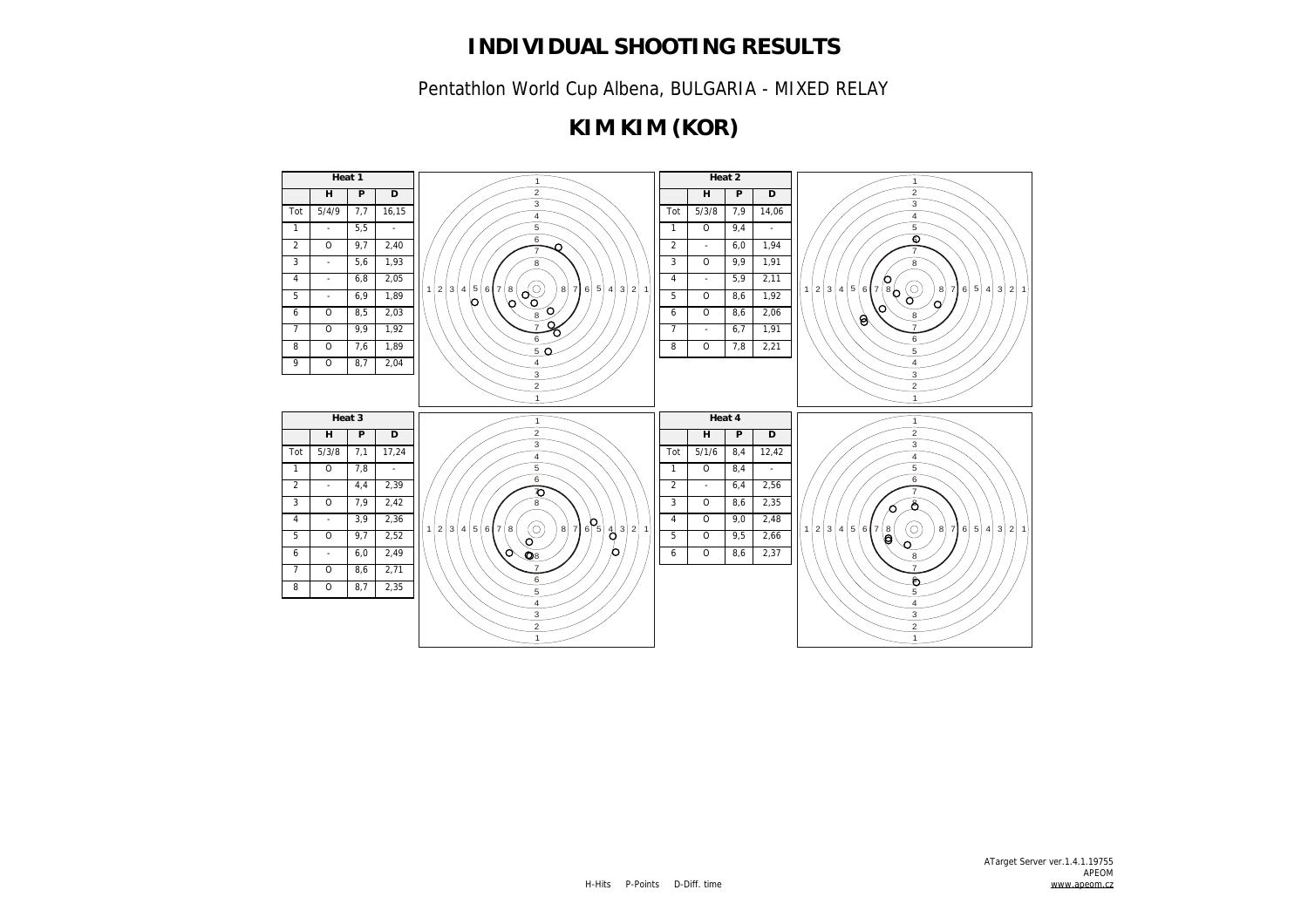Pentathlon World Cup Albena, BULGARIA - MIXED RELAY

# **KIM KIM (KOR)**

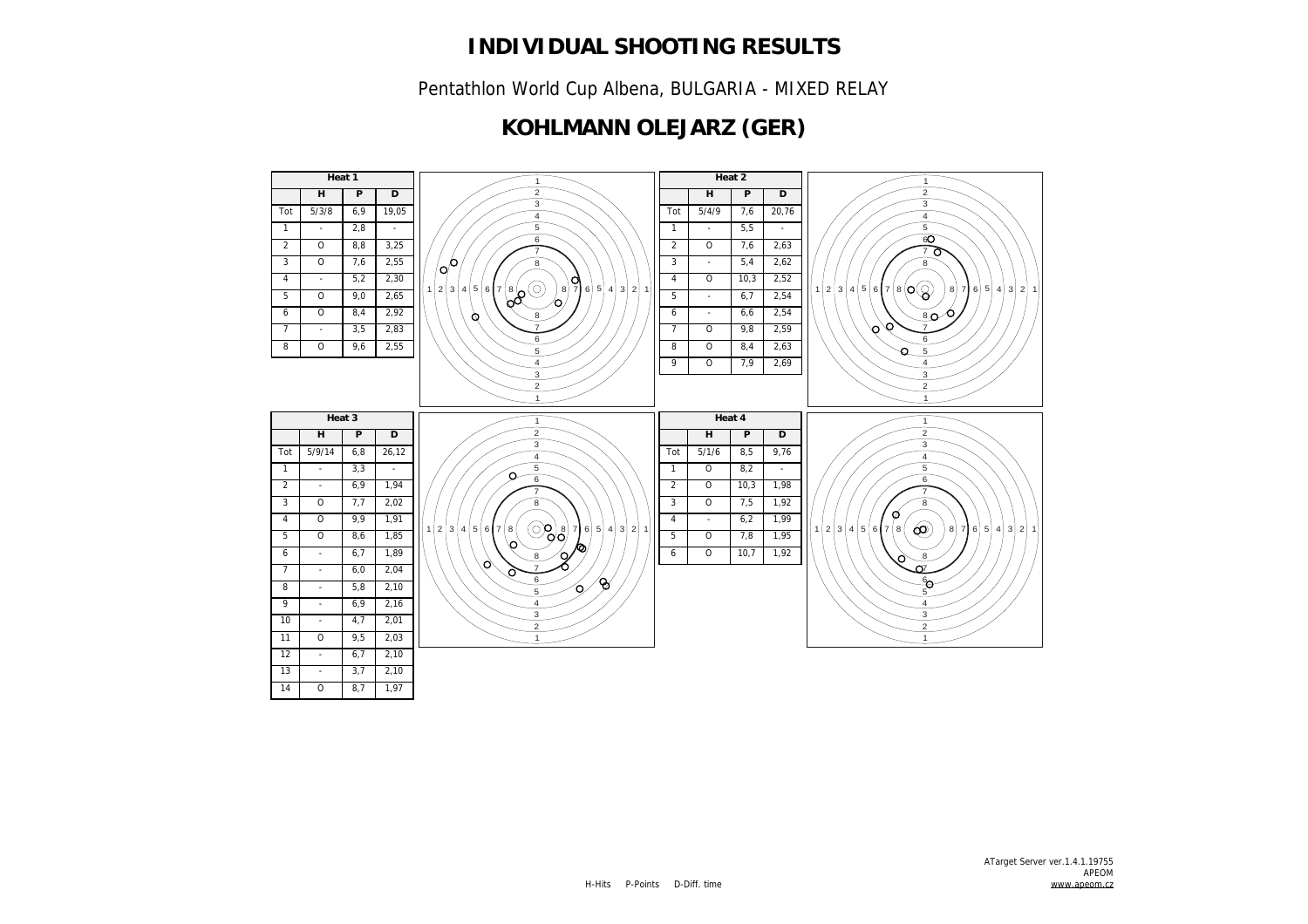Pentathlon World Cup Albena, BULGARIA - MIXED RELAY

## **KOHLMANN OLEJARZ (GER)**

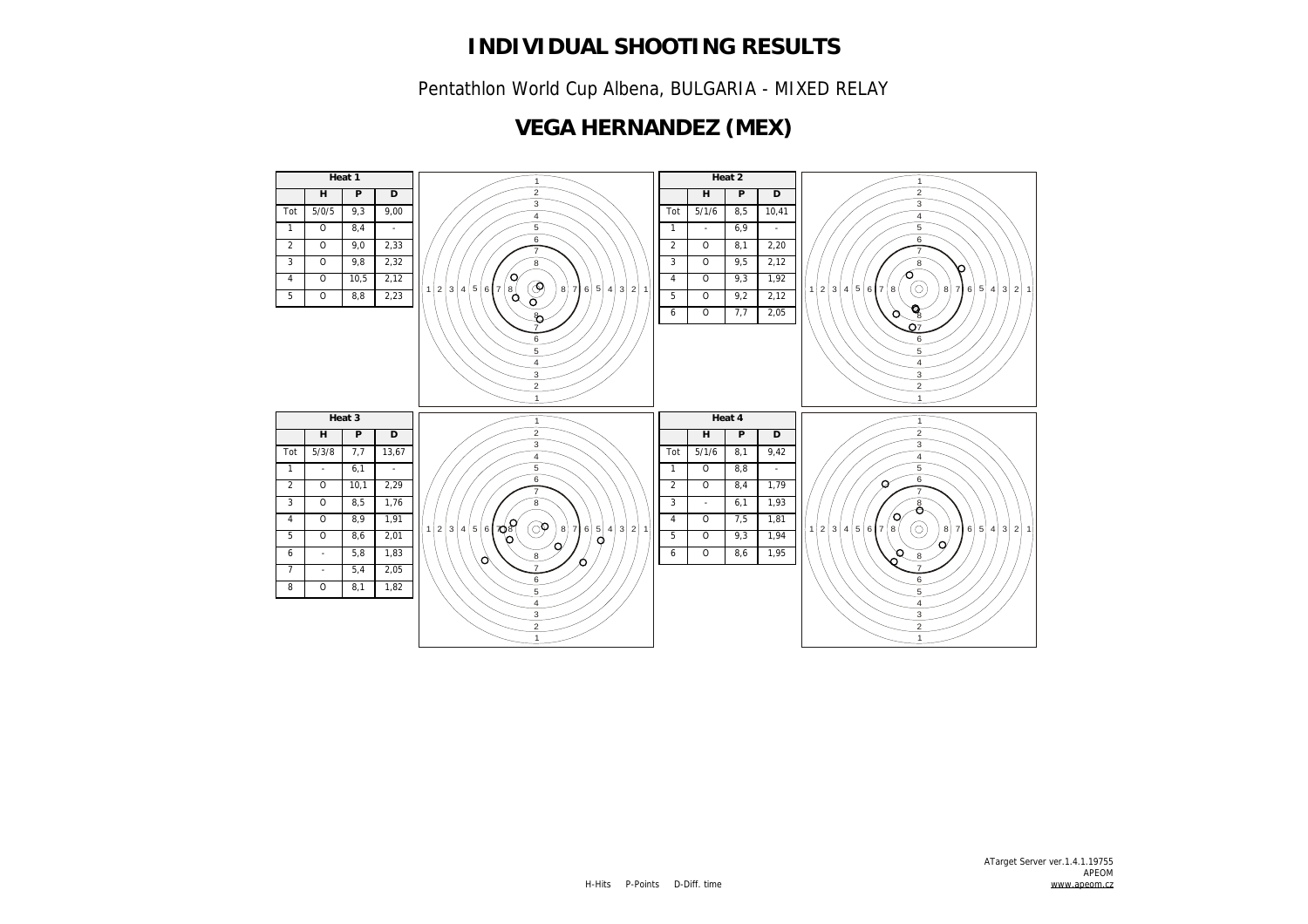Pentathlon World Cup Albena, BULGARIA - MIXED RELAY

### **VEGA HERNANDEZ (MEX)**

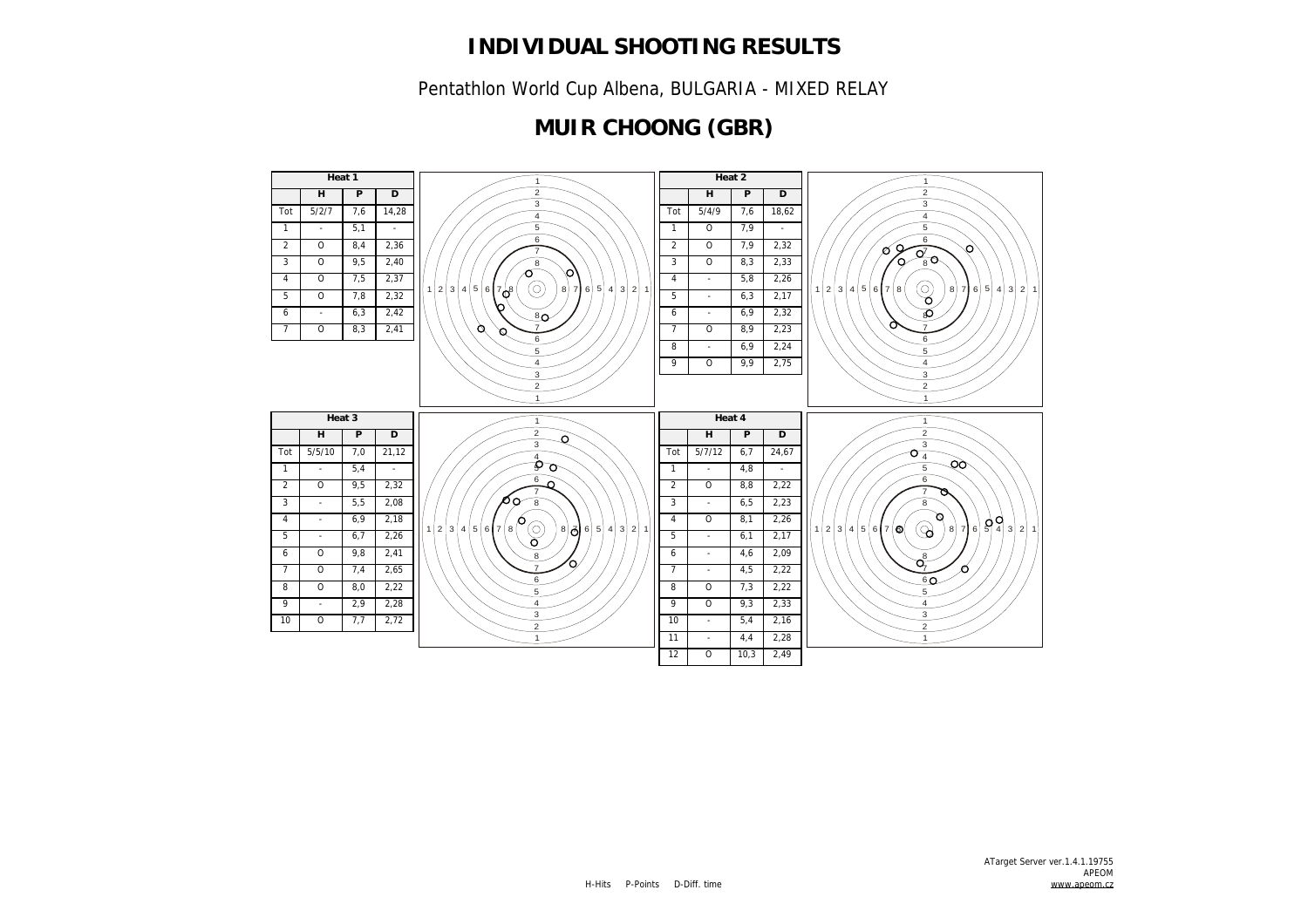Pentathlon World Cup Albena, BULGARIA - MIXED RELAY

## **MUIR CHOONG (GBR)**

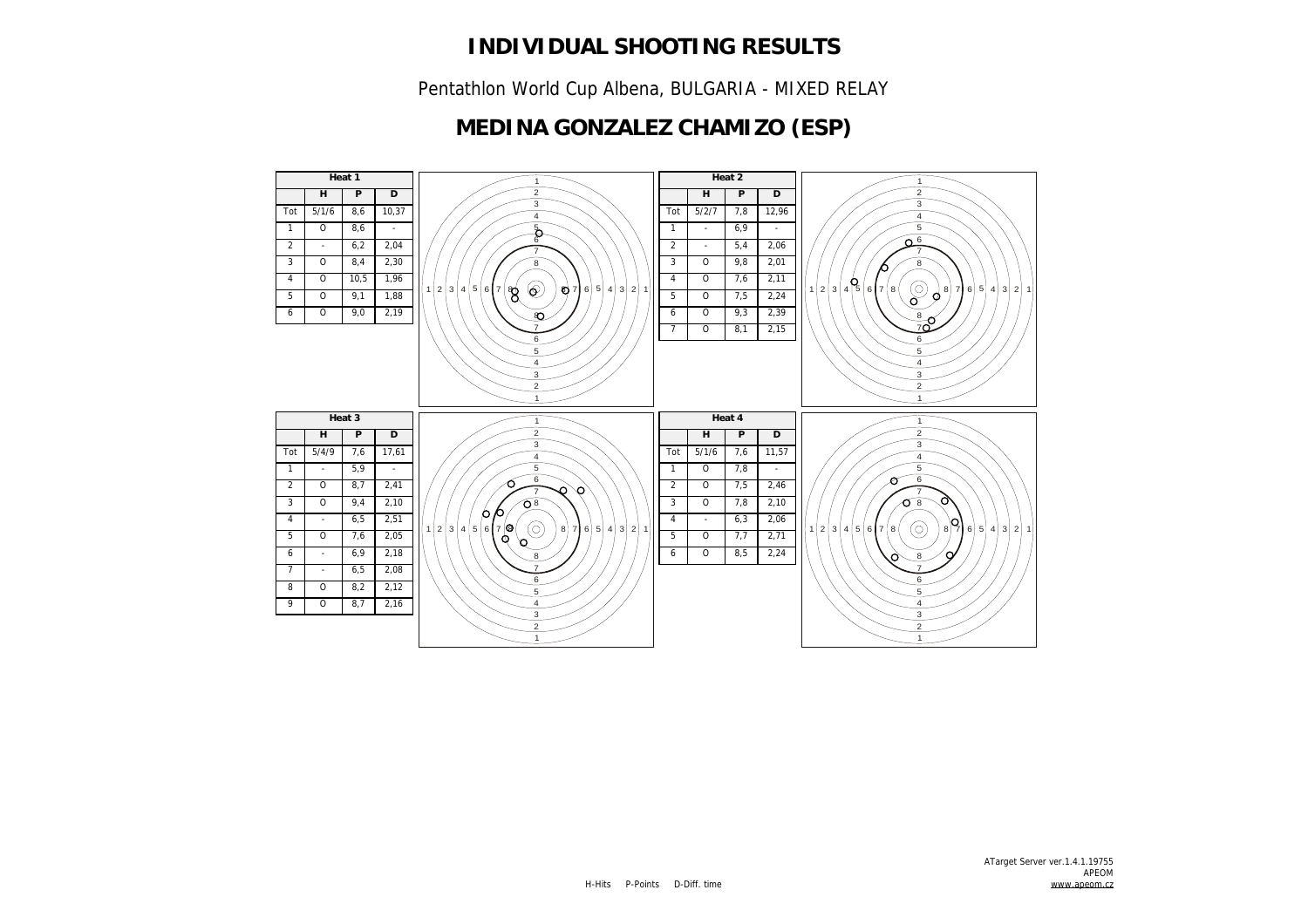Pentathlon World Cup Albena, BULGARIA - MIXED RELAY

## **MEDINA GONZALEZ CHAMIZO (ESP)**

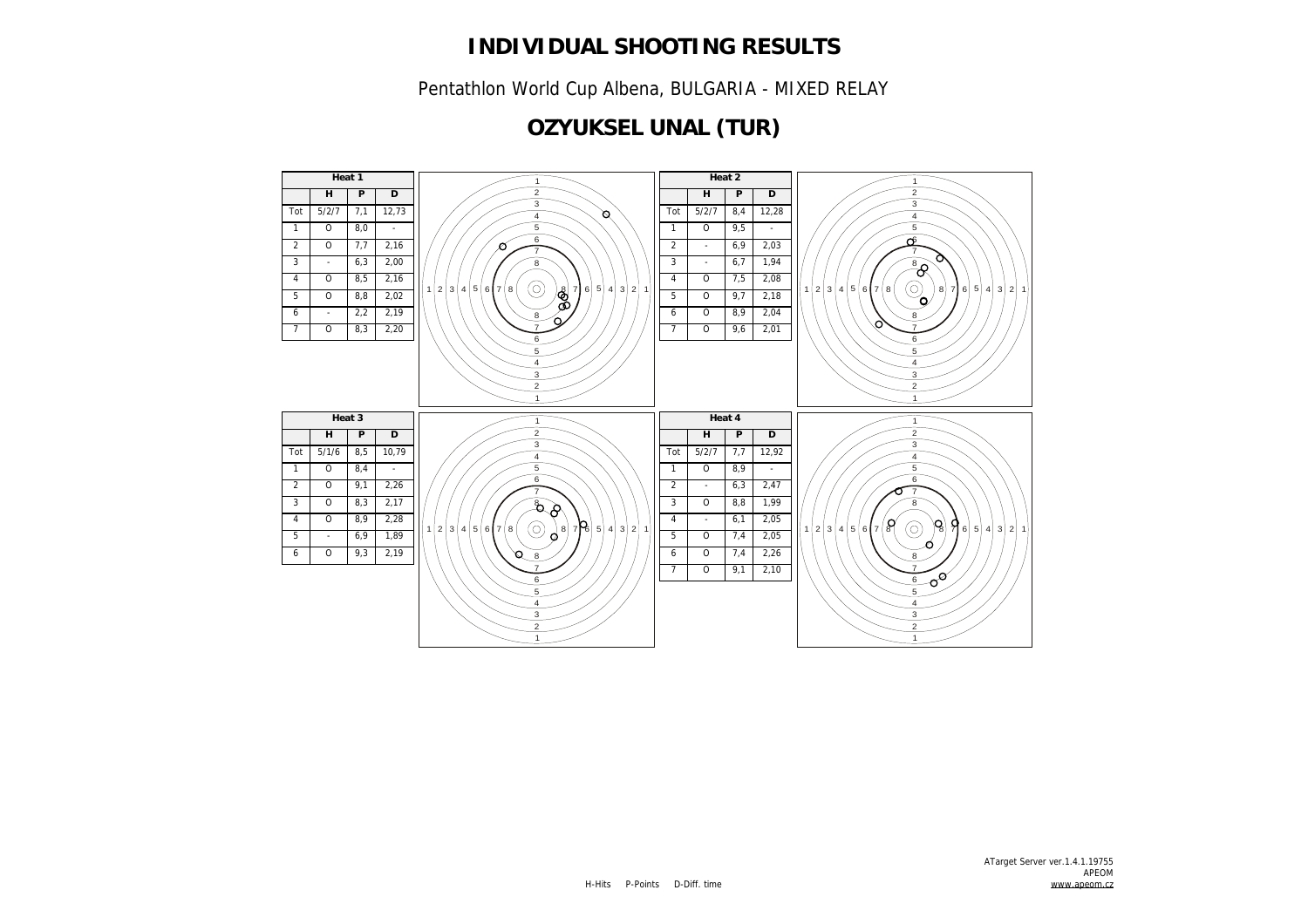Pentathlon World Cup Albena, BULGARIA - MIXED RELAY

# **OZYUKSEL UNAL (TUR)**

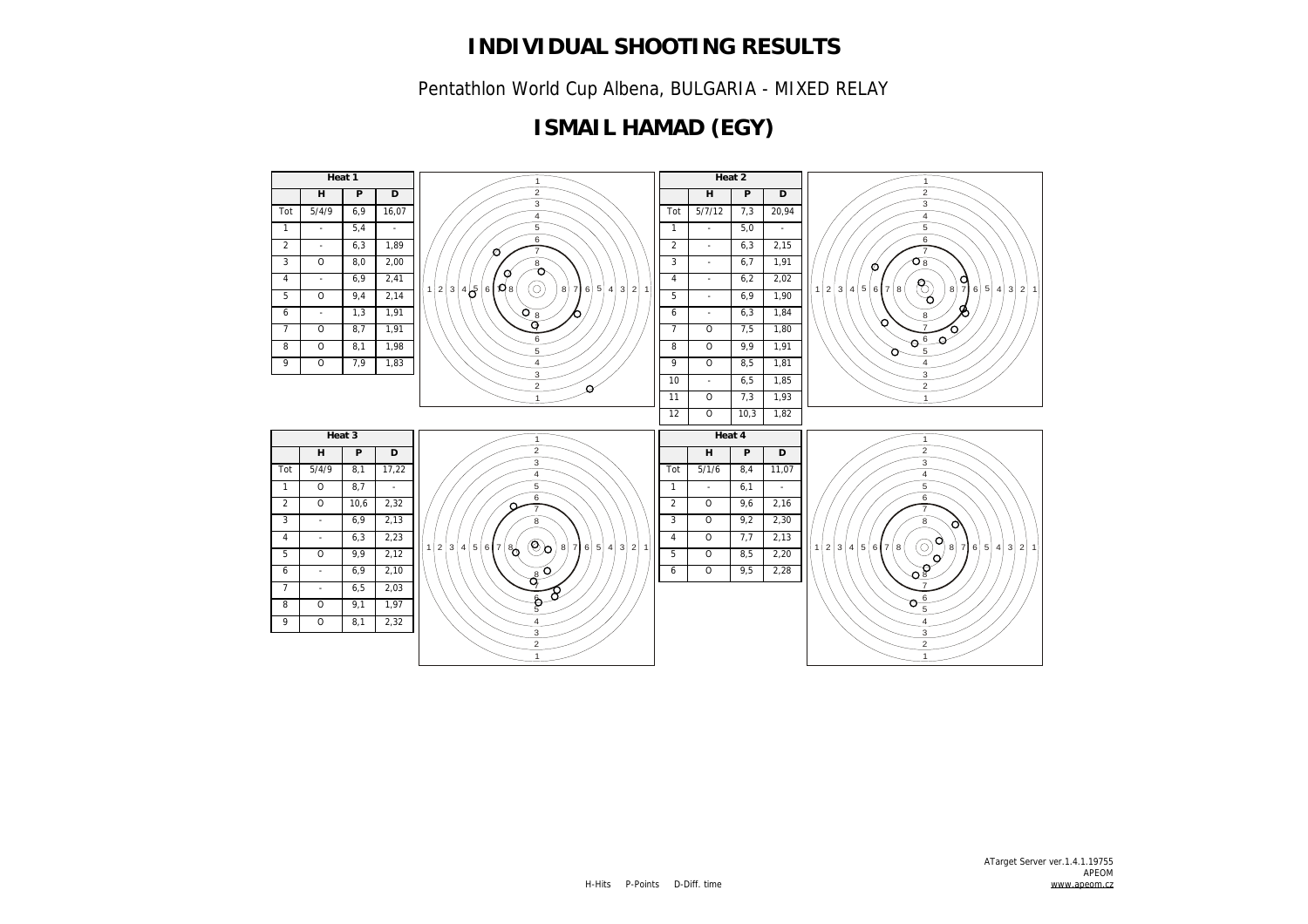Pentathlon World Cup Albena, BULGARIA - MIXED RELAY

## **ISMAIL HAMAD (EGY)**

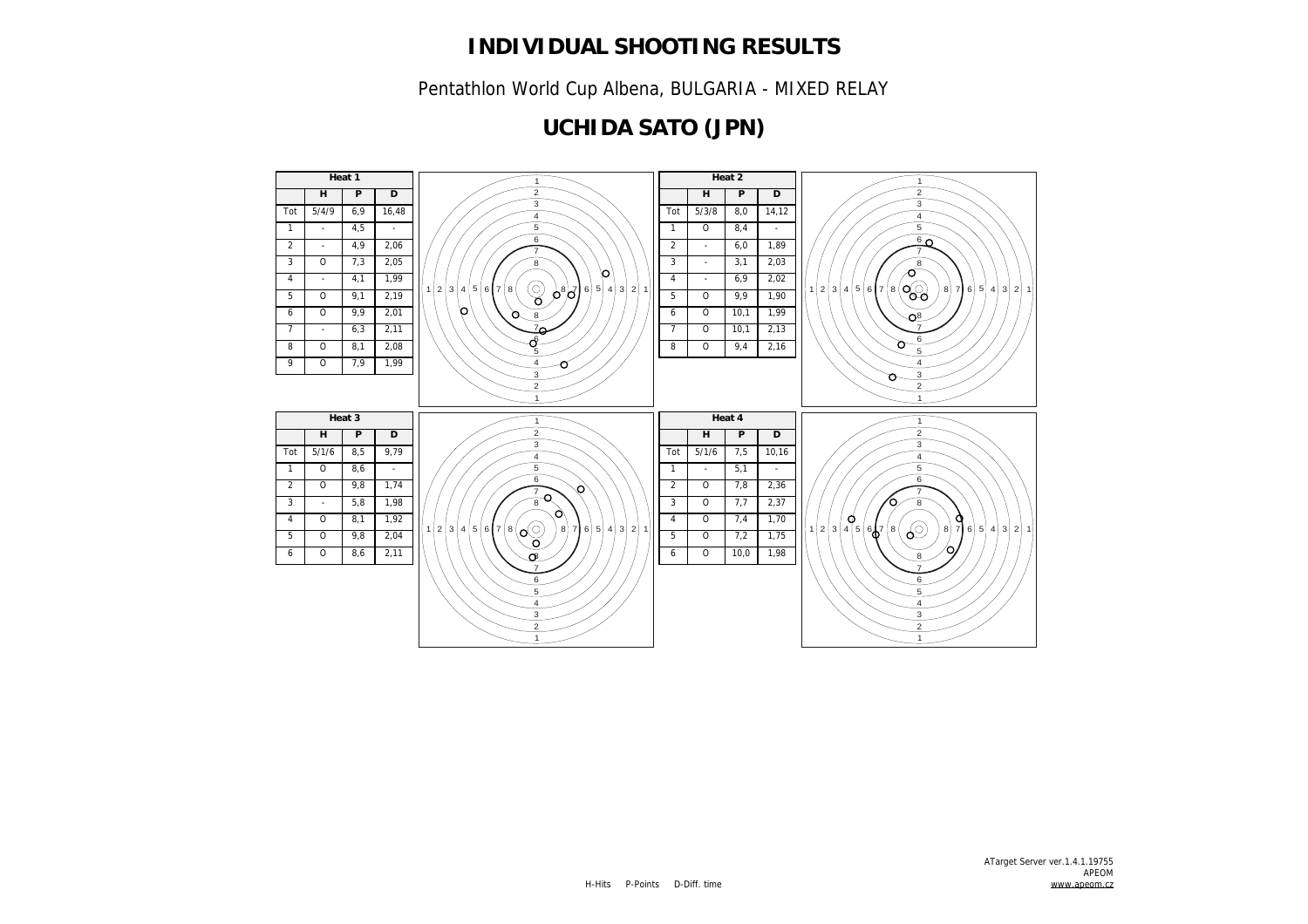Pentathlon World Cup Albena, BULGARIA - MIXED RELAY

# **UCHIDA SATO (JPN)**